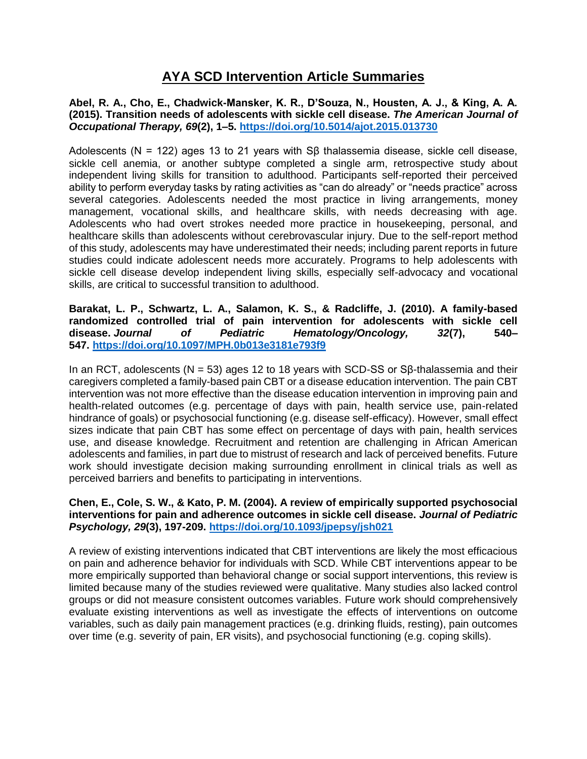# **AYA SCD Intervention Article Summaries**

**Abel, R. A., Cho, E., Chadwick-Mansker, K. R., D'Souza, N., Housten, A. J., & King, A. A. (2015). Transition needs of adolescents with sickle cell disease.** *The American Journal of Occupational Therapy, 69***(2), 1–5. <https://doi.org/10.5014/ajot.2015.013730>**

Adolescents (N = 122) ages 13 to 21 years with Sβ thalassemia disease, sickle cell disease, sickle cell anemia, or another subtype completed a single arm, retrospective study about independent living skills for transition to adulthood. Participants self-reported their perceived ability to perform everyday tasks by rating activities as "can do already" or "needs practice" across several categories. Adolescents needed the most practice in living arrangements, money management, vocational skills, and healthcare skills, with needs decreasing with age. Adolescents who had overt strokes needed more practice in housekeeping, personal, and healthcare skills than adolescents without cerebrovascular injury. Due to the self-report method of this study, adolescents may have underestimated their needs; including parent reports in future studies could indicate adolescent needs more accurately. Programs to help adolescents with sickle cell disease develop independent living skills, especially self-advocacy and vocational skills, are critical to successful transition to adulthood.

**Barakat, L. P., Schwartz, L. A., Salamon, K. S., & Radcliffe, J. (2010). A family-based randomized controlled trial of pain intervention for adolescents with sickle cell disease.** *Journal of Pediatric Hematology/Oncology, 32***(7), 540– 547. <https://doi.org/10.1097/MPH.0b013e3181e793f9>**

In an RCT, adolescents ( $N = 53$ ) ages 12 to 18 years with SCD-SS or S $\beta$ -thalassemia and their caregivers completed a family-based pain CBT or a disease education intervention. The pain CBT intervention was not more effective than the disease education intervention in improving pain and health-related outcomes (e.g. percentage of days with pain, health service use, pain-related hindrance of goals) or psychosocial functioning (e.g. disease self-efficacy). However, small effect sizes indicate that pain CBT has some effect on percentage of days with pain, health services use, and disease knowledge. Recruitment and retention are challenging in African American adolescents and families, in part due to mistrust of research and lack of perceived benefits. Future work should investigate decision making surrounding enrollment in clinical trials as well as perceived barriers and benefits to participating in interventions.

## **Chen, E., Cole, S. W., & Kato, P. M. (2004). A review of empirically supported psychosocial interventions for pain and adherence outcomes in sickle cell disease.** *Journal of Pediatric Psychology, 29***(3), 197-209. <https://doi.org/10.1093/jpepsy/jsh021>**

A review of existing interventions indicated that CBT interventions are likely the most efficacious on pain and adherence behavior for individuals with SCD. While CBT interventions appear to be more empirically supported than behavioral change or social support interventions, this review is limited because many of the studies reviewed were qualitative. Many studies also lacked control groups or did not measure consistent outcomes variables. Future work should comprehensively evaluate existing interventions as well as investigate the effects of interventions on outcome variables, such as daily pain management practices (e.g. drinking fluids, resting), pain outcomes over time (e.g. severity of pain, ER visits), and psychosocial functioning (e.g. coping skills).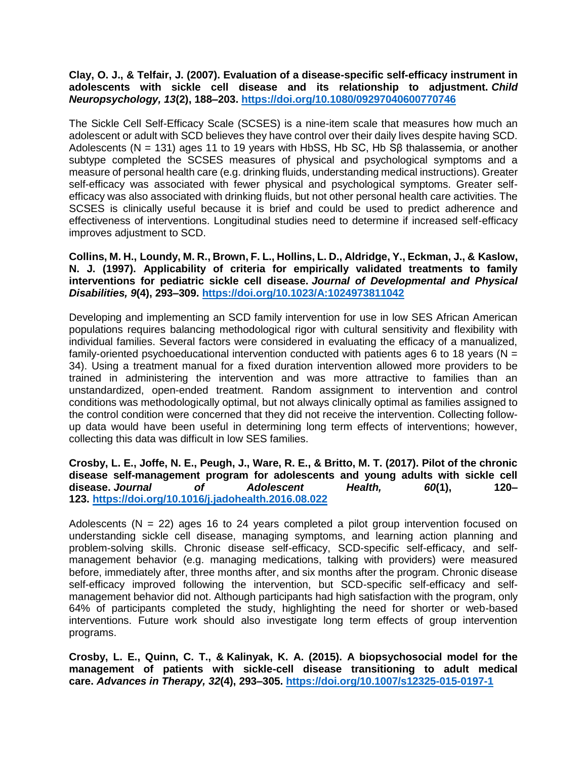**Clay, O. J., & Telfair, J. (2007). Evaluation of a disease-specific self-efficacy instrument in adolescents with sickle cell disease and its relationship to adjustment.** *Child Neuropsychology, 13***(2), 188–203. <https://doi.org/10.1080/09297040600770746>**

The Sickle Cell Self-Efficacy Scale (SCSES) is a nine-item scale that measures how much an adolescent or adult with SCD believes they have control over their daily lives despite having SCD. Adolescents (N = 131) ages 11 to 19 years with HbSS, Hb SC, Hb S $\beta$  thalassemia, or another subtype completed the SCSES measures of physical and psychological symptoms and a measure of personal health care (e.g. drinking fluids, understanding medical instructions). Greater self-efficacy was associated with fewer physical and psychological symptoms. Greater selfefficacy was also associated with drinking fluids, but not other personal health care activities. The SCSES is clinically useful because it is brief and could be used to predict adherence and effectiveness of interventions. Longitudinal studies need to determine if increased self-efficacy improves adjustment to SCD.

**Collins, M. H., Loundy, M. R., Brown, F. L., Hollins, L. D., Aldridge, Y., Eckman, J., & Kaslow, N. J. (1997). Applicability of criteria for empirically validated treatments to family interventions for pediatric sickle cell disease.** *Journal of Developmental and Physical Disabilities, 9***(4), 293–309. <https://doi.org/10.1023/A:1024973811042>**

Developing and implementing an SCD family intervention for use in low SES African American populations requires balancing methodological rigor with cultural sensitivity and flexibility with individual families. Several factors were considered in evaluating the efficacy of a manualized, family-oriented psychoeducational intervention conducted with patients ages 6 to 18 years ( $N =$ 34). Using a treatment manual for a fixed duration intervention allowed more providers to be trained in administering the intervention and was more attractive to families than an unstandardized, open-ended treatment. Random assignment to intervention and control conditions was methodologically optimal, but not always clinically optimal as families assigned to the control condition were concerned that they did not receive the intervention. Collecting followup data would have been useful in determining long term effects of interventions; however, collecting this data was difficult in low SES families.

**Crosby, L. E., Joffe, N. E., Peugh, J., Ware, R. E., & Britto, M. T. (2017). Pilot of the chronic disease self-management program for adolescents and young adults with sickle cell disease.** *Journal of Adolescent Health, 60***(1), 120– 123. <https://doi.org/10.1016/j.jadohealth.2016.08.022>**

Adolescents ( $N = 22$ ) ages 16 to 24 years completed a pilot group intervention focused on understanding sickle cell disease, managing symptoms, and learning action planning and problem-solving skills. Chronic disease self-efficacy, SCD-specific self-efficacy, and selfmanagement behavior (e.g. managing medications, talking with providers) were measured before, immediately after, three months after, and six months after the program. Chronic disease self-efficacy improved following the intervention, but SCD-specific self-efficacy and selfmanagement behavior did not. Although participants had high satisfaction with the program, only 64% of participants completed the study, highlighting the need for shorter or web-based interventions. Future work should also investigate long term effects of group intervention programs.

**Crosby, L. E., Quinn, C. T., & Kalinyak, K. A. (2015). A biopsychosocial model for the management of patients with sickle-cell disease transitioning to adult medical care.** *Advances in Therapy, 32***(4), 293–305. <https://doi.org/10.1007/s12325-015-0197-1>**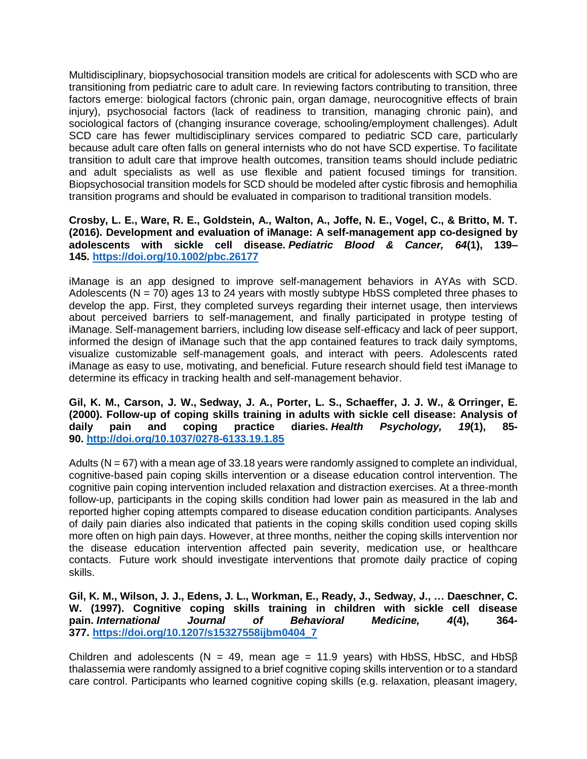Multidisciplinary, biopsychosocial transition models are critical for adolescents with SCD who are transitioning from pediatric care to adult care. In reviewing factors contributing to transition, three factors emerge: biological factors (chronic pain, organ damage, neurocognitive effects of brain injury), psychosocial factors (lack of readiness to transition, managing chronic pain), and sociological factors of (changing insurance coverage, schooling/employment challenges). Adult SCD care has fewer multidisciplinary services compared to pediatric SCD care, particularly because adult care often falls on general internists who do not have SCD expertise. To facilitate transition to adult care that improve health outcomes, transition teams should include pediatric and adult specialists as well as use flexible and patient focused timings for transition. Biopsychosocial transition models for SCD should be modeled after cystic fibrosis and hemophilia transition programs and should be evaluated in comparison to traditional transition models.

### **Crosby, L. E., Ware, R. E., Goldstein, A., Walton, A., Joffe, N. E., Vogel, C., & Britto, M. T. (2016). Development and evaluation of iManage: A self-management app co-designed by adolescents with sickle cell disease.** *Pediatric Blood & Cancer, 64***(1), 139– 145. <https://doi.org/10.1002/pbc.26177>**

iManage is an app designed to improve self-management behaviors in AYAs with SCD. Adolescents ( $N = 70$ ) ages 13 to 24 years with mostly subtype HbSS completed three phases to develop the app. First, they completed surveys regarding their internet usage, then interviews about perceived barriers to self-management, and finally participated in protype testing of iManage. Self-management barriers, including low disease self-efficacy and lack of peer support, informed the design of iManage such that the app contained features to track daily symptoms, visualize customizable self-management goals, and interact with peers. Adolescents rated iManage as easy to use, motivating, and beneficial. Future research should field test iManage to determine its efficacy in tracking health and self-management behavior.

**Gil, K. M., Carson, J. W., Sedway, J. A., Porter, L. S., Schaeffer, J. J. W., & Orringer, E. (2000). Follow-up of coping skills training in adults with sickle cell disease: Analysis of daily pain and coping practice diaries.** *Health Psychology, 19***(1), 85- 90. <http://doi.org/10.1037/0278-6133.19.1.85>**

Adults (N = 67) with a mean age of 33.18 years were randomly assigned to complete an individual, cognitive-based pain coping skills intervention or a disease education control intervention. The cognitive pain coping intervention included relaxation and distraction exercises. At a three-month follow-up, participants in the coping skills condition had lower pain as measured in the lab and reported higher coping attempts compared to disease education condition participants. Analyses of daily pain diaries also indicated that patients in the coping skills condition used coping skills more often on high pain days. However, at three months, neither the coping skills intervention nor the disease education intervention affected pain severity, medication use, or healthcare contacts. Future work should investigate interventions that promote daily practice of coping skills.

**Gil, K. M., Wilson, J. J., Edens, J. L., Workman, E., Ready, J., Sedway, J., … Daeschner, C. W. (1997). Cognitive coping skills training in children with sickle cell disease pain.** *International Journal of Behavioral Medicine, 4***(4), 364- 377. [https://doi.org/10.1207/s15327558ijbm0404\\_7](https://doi.org/10.1207/s15327558ijbm0404_7)**

Children and adolescents (N = 49, mean age = 11.9 years) with HbSS, HbSC, and HbS $\beta$ thalassemia were randomly assigned to a brief cognitive coping skills intervention or to a standard care control. Participants who learned cognitive coping skills (e.g. relaxation, pleasant imagery,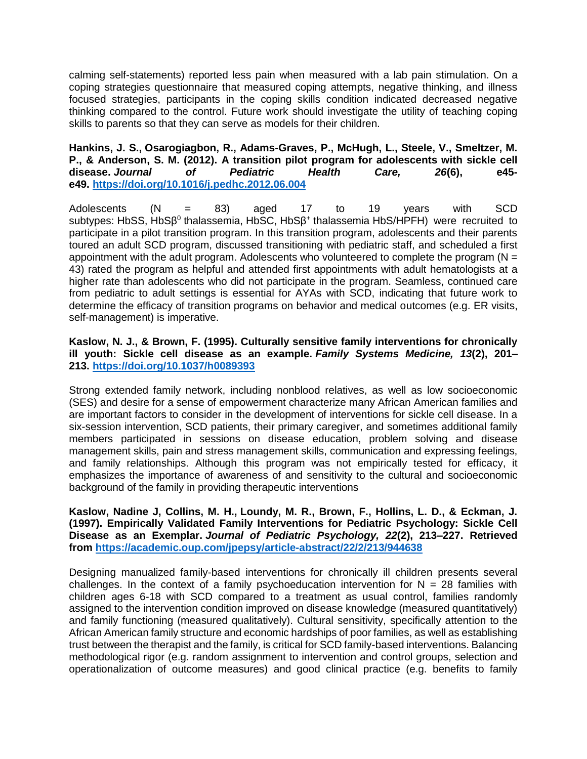calming self-statements) reported less pain when measured with a lab pain stimulation. On a coping strategies questionnaire that measured coping attempts, negative thinking, and illness focused strategies, participants in the coping skills condition indicated decreased negative thinking compared to the control. Future work should investigate the utility of teaching coping skills to parents so that they can serve as models for their children.

## **Hankins, J. S., Osarogiagbon, R., Adams-Graves, P., McHugh, L., Steele, V., Smeltzer, M. P., & Anderson, S. M. (2012). A transition pilot program for adolescents with sickle cell disease.** *Journal of Pediatric Health Care, 26***(6), e45 e49. <https://doi.org/10.1016/j.pedhc.2012.06.004>**

Adolescents (N = 83) aged 17 to 19 years with SCD subtypes: HbSS, HbSβ<sup>0</sup> thalassemia, HbSC, HbSβ<sup>+</sup> thalassemia HbS/HPFH) were recruited to participate in a pilot transition program. In this transition program, adolescents and their parents toured an adult SCD program, discussed transitioning with pediatric staff, and scheduled a first appointment with the adult program. Adolescents who volunteered to complete the program ( $N =$ 43) rated the program as helpful and attended first appointments with adult hematologists at a higher rate than adolescents who did not participate in the program. Seamless, continued care from pediatric to adult settings is essential for AYAs with SCD, indicating that future work to determine the efficacy of transition programs on behavior and medical outcomes (e.g. ER visits, self-management) is imperative.

## **Kaslow, N. J., & Brown, F. (1995). Culturally sensitive family interventions for chronically ill youth: Sickle cell disease as an example.** *Family Systems Medicine, 13***(2), 201– 213. <https://doi.org/10.1037/h0089393>**

Strong extended family network, including nonblood relatives, as well as low socioeconomic (SES) and desire for a sense of empowerment characterize many African American families and are important factors to consider in the development of interventions for sickle cell disease. In a six-session intervention, SCD patients, their primary caregiver, and sometimes additional family members participated in sessions on disease education, problem solving and disease management skills, pain and stress management skills, communication and expressing feelings, and family relationships. Although this program was not empirically tested for efficacy, it emphasizes the importance of awareness of and sensitivity to the cultural and socioeconomic background of the family in providing therapeutic interventions

**Kaslow, Nadine J, Collins, M. H., Loundy, M. R., Brown, F., Hollins, L. D., & Eckman, J. (1997). Empirically Validated Family Interventions for Pediatric Psychology: Sickle Cell Disease as an Exemplar.** *Journal of Pediatric Psychology, 22***(2), 213–227. Retrieved from <https://academic.oup.com/jpepsy/article-abstract/22/2/213/944638>**

Designing manualized family-based interventions for chronically ill children presents several challenges. In the context of a family psychoeducation intervention for  $N = 28$  families with children ages 6-18 with SCD compared to a treatment as usual control, families randomly assigned to the intervention condition improved on disease knowledge (measured quantitatively) and family functioning (measured qualitatively). Cultural sensitivity, specifically attention to the African American family structure and economic hardships of poor families, as well as establishing trust between the therapist and the family, is critical for SCD family-based interventions. Balancing methodological rigor (e.g. random assignment to intervention and control groups, selection and operationalization of outcome measures) and good clinical practice (e.g. benefits to family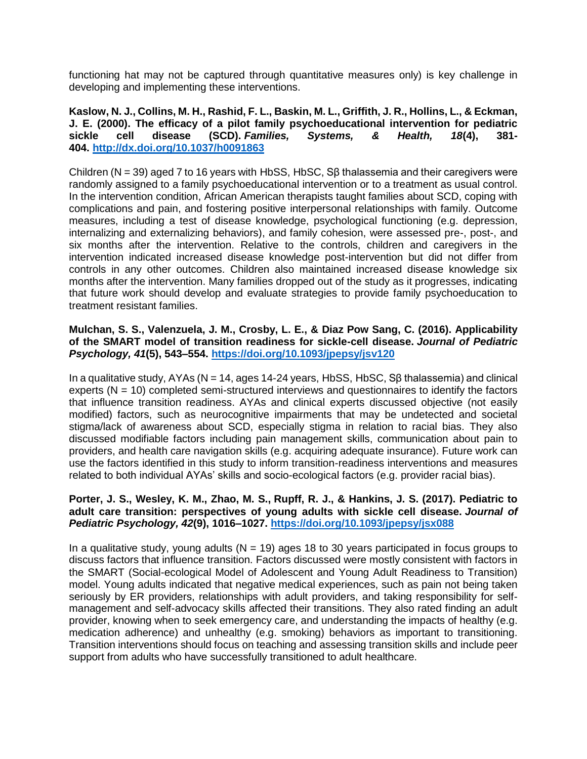functioning hat may not be captured through quantitative measures only) is key challenge in developing and implementing these interventions.

**Kaslow, N. J., Collins, M. H., Rashid, F. L., Baskin, M. L., Griffith, J. R., Hollins, L., & Eckman, J. E. (2000). The efficacy of a pilot family psychoeducational intervention for pediatric sickle cell disease (SCD).** *Families, Systems, & Health, 18***(4), 381- 404. <http://dx.doi.org/10.1037/h0091863>**

Children ( $N = 39$ ) aged 7 to 16 years with HbSS, HbSC, S $\beta$  thalassemia and their caregivers were randomly assigned to a family psychoeducational intervention or to a treatment as usual control. In the intervention condition, African American therapists taught families about SCD, coping with complications and pain, and fostering positive interpersonal relationships with family. Outcome measures, including a test of disease knowledge, psychological functioning (e.g. depression, internalizing and externalizing behaviors), and family cohesion, were assessed pre-, post-, and six months after the intervention. Relative to the controls, children and caregivers in the intervention indicated increased disease knowledge post-intervention but did not differ from controls in any other outcomes. Children also maintained increased disease knowledge six months after the intervention. Many families dropped out of the study as it progresses, indicating that future work should develop and evaluate strategies to provide family psychoeducation to treatment resistant families.

#### **Mulchan, S. S., Valenzuela, J. M., Crosby, L. E., & Diaz Pow Sang, C. (2016). Applicability of the SMART model of transition readiness for sickle-cell disease.** *Journal of Pediatric Psychology, 41***(5), 543–554. <https://doi.org/10.1093/jpepsy/jsv120>**

In a qualitative study, AYAs (N = 14, ages 14-24 years, HbSS, HbSC, Sβ thalassemia) and clinical experts ( $N = 10$ ) completed semi-structured interviews and questionnaires to identify the factors that influence transition readiness. AYAs and clinical experts discussed objective (not easily modified) factors, such as neurocognitive impairments that may be undetected and societal stigma/lack of awareness about SCD, especially stigma in relation to racial bias. They also discussed modifiable factors including pain management skills, communication about pain to providers, and health care navigation skills (e.g. acquiring adequate insurance). Future work can use the factors identified in this study to inform transition-readiness interventions and measures related to both individual AYAs' skills and socio-ecological factors (e.g. provider racial bias).

#### **Porter, J. S., Wesley, K. M., Zhao, M. S., Rupff, R. J., & Hankins, J. S. (2017). Pediatric to adult care transition: perspectives of young adults with sickle cell disease.** *Journal of Pediatric Psychology, 42***(9), 1016–1027. <https://doi.org/10.1093/jpepsy/jsx088>**

In a qualitative study, young adults ( $N = 19$ ) ages 18 to 30 years participated in focus groups to discuss factors that influence transition. Factors discussed were mostly consistent with factors in the SMART (Social-ecological Model of Adolescent and Young Adult Readiness to Transition) model. Young adults indicated that negative medical experiences, such as pain not being taken seriously by ER providers, relationships with adult providers, and taking responsibility for selfmanagement and self-advocacy skills affected their transitions. They also rated finding an adult provider, knowing when to seek emergency care, and understanding the impacts of healthy (e.g. medication adherence) and unhealthy (e.g. smoking) behaviors as important to transitioning. Transition interventions should focus on teaching and assessing transition skills and include peer support from adults who have successfully transitioned to adult healthcare.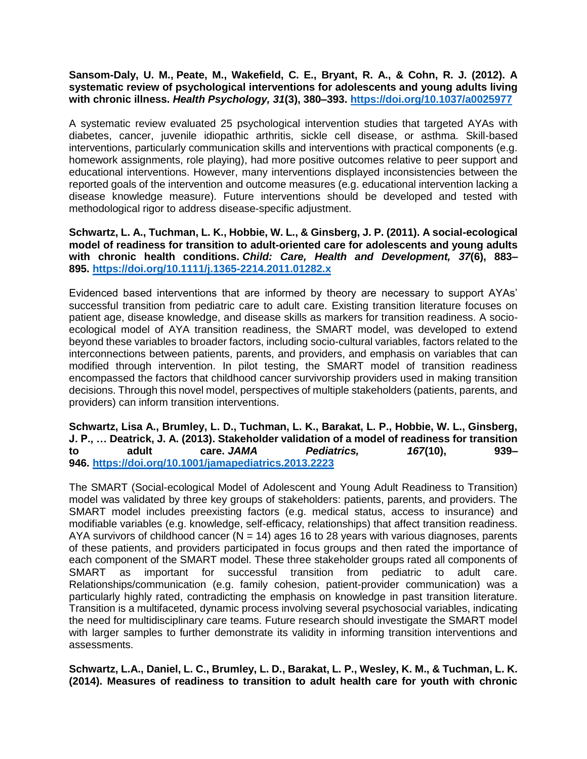## **Sansom-Daly, U. M., Peate, M., Wakefield, C. E., Bryant, R. A., & Cohn, R. J. (2012). A systematic review of psychological interventions for adolescents and young adults living with chronic illness.** *Health Psychology, 31***(3), 380–393. <https://doi.org/10.1037/a0025977>**

A systematic review evaluated 25 psychological intervention studies that targeted AYAs with diabetes, cancer, juvenile idiopathic arthritis, sickle cell disease, or asthma. Skill-based interventions, particularly communication skills and interventions with practical components (e.g. homework assignments, role playing), had more positive outcomes relative to peer support and educational interventions. However, many interventions displayed inconsistencies between the reported goals of the intervention and outcome measures (e.g. educational intervention lacking a disease knowledge measure). Future interventions should be developed and tested with methodological rigor to address disease-specific adjustment.

**Schwartz, L. A., Tuchman, L. K., Hobbie, W. L., & Ginsberg, J. P. (2011). A social-ecological model of readiness for transition to adult-oriented care for adolescents and young adults with chronic health conditions.** *Child: Care, Health and Development, 37***(6), 883– 895. <https://doi.org/10.1111/j.1365-2214.2011.01282.x>**

Evidenced based interventions that are informed by theory are necessary to support AYAs' successful transition from pediatric care to adult care. Existing transition literature focuses on patient age, disease knowledge, and disease skills as markers for transition readiness. A socioecological model of AYA transition readiness, the SMART model, was developed to extend beyond these variables to broader factors, including socio-cultural variables, factors related to the interconnections between patients, parents, and providers, and emphasis on variables that can modified through intervention. In pilot testing, the SMART model of transition readiness encompassed the factors that childhood cancer survivorship providers used in making transition decisions. Through this novel model, perspectives of multiple stakeholders (patients, parents, and providers) can inform transition interventions.

**Schwartz, Lisa A., Brumley, L. D., Tuchman, L. K., Barakat, L. P., Hobbie, W. L., Ginsberg, J. P., … Deatrick, J. A. (2013). Stakeholder validation of a model of readiness for transition to adult care.** *JAMA Pediatrics, 167***(10), 939– 946. <https://doi.org/10.1001/jamapediatrics.2013.2223>**

The SMART (Social-ecological Model of Adolescent and Young Adult Readiness to Transition) model was validated by three key groups of stakeholders: patients, parents, and providers. The SMART model includes preexisting factors (e.g. medical status, access to insurance) and modifiable variables (e.g. knowledge, self-efficacy, relationships) that affect transition readiness. AYA survivors of childhood cancer ( $N = 14$ ) ages 16 to 28 years with various diagnoses, parents of these patients, and providers participated in focus groups and then rated the importance of each component of the SMART model. These three stakeholder groups rated all components of SMART as important for successful transition from pediatric to adult care. Relationships/communication (e.g. family cohesion, patient-provider communication) was a particularly highly rated, contradicting the emphasis on knowledge in past transition literature. Transition is a multifaceted, dynamic process involving several psychosocial variables, indicating the need for multidisciplinary care teams. Future research should investigate the SMART model with larger samples to further demonstrate its validity in informing transition interventions and assessments.

**Schwartz, L.A., Daniel, L. C., Brumley, L. D., Barakat, L. P., Wesley, K. M., & Tuchman, L. K. (2014). Measures of readiness to transition to adult health care for youth with chronic**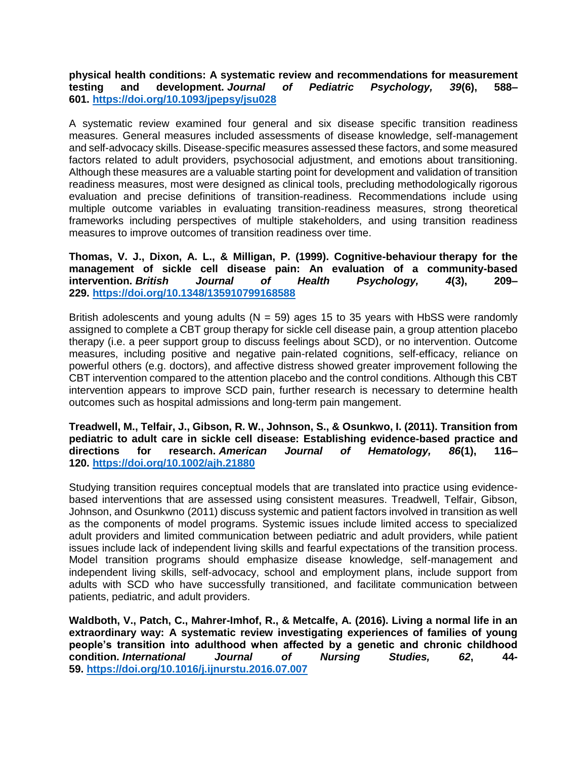**physical health conditions: A systematic review and recommendations for measurement testing and development.** *Journal of Pediatric Psychology, 39***(6), 588– 601. <https://doi.org/10.1093/jpepsy/jsu028>**

A systematic review examined four general and six disease specific transition readiness measures. General measures included assessments of disease knowledge, self-management and self-advocacy skills. Disease-specific measures assessed these factors, and some measured factors related to adult providers, psychosocial adjustment, and emotions about transitioning. Although these measures are a valuable starting point for development and validation of transition readiness measures, most were designed as clinical tools, precluding methodologically rigorous evaluation and precise definitions of transition-readiness. Recommendations include using multiple outcome variables in evaluating transition-readiness measures, strong theoretical frameworks including perspectives of multiple stakeholders, and using transition readiness measures to improve outcomes of transition readiness over time.

**Thomas, V. J., Dixon, A. L., & Milligan, P. (1999). Cognitive-behaviour therapy for the management of sickle cell disease pain: An evaluation of a community-based intervention.** *British Journal of Health Psychology, 4***(3), 209– 229. <https://doi.org/10.1348/135910799168588>**

British adolescents and young adults  $(N = 59)$  ages 15 to 35 years with HbSS were randomly assigned to complete a CBT group therapy for sickle cell disease pain, a group attention placebo therapy (i.e. a peer support group to discuss feelings about SCD), or no intervention. Outcome measures, including positive and negative pain-related cognitions, self-efficacy, reliance on powerful others (e.g. doctors), and affective distress showed greater improvement following the CBT intervention compared to the attention placebo and the control conditions. Although this CBT intervention appears to improve SCD pain, further research is necessary to determine health outcomes such as hospital admissions and long-term pain mangement.

**Treadwell, M., Telfair, J., Gibson, R. W., Johnson, S., & Osunkwo, I. (2011). Transition from pediatric to adult care in sickle cell disease: Establishing evidence-based practice and directions for research.** *American Journal of Hematology, 86***(1), 116– 120. <https://doi.org/10.1002/ajh.21880>**

Studying transition requires conceptual models that are translated into practice using evidencebased interventions that are assessed using consistent measures. Treadwell, Telfair, Gibson, Johnson, and Osunkwno (2011) discuss systemic and patient factors involved in transition as well as the components of model programs. Systemic issues include limited access to specialized adult providers and limited communication between pediatric and adult providers, while patient issues include lack of independent living skills and fearful expectations of the transition process. Model transition programs should emphasize disease knowledge, self-management and independent living skills, self-advocacy, school and employment plans, include support from adults with SCD who have successfully transitioned, and facilitate communication between patients, pediatric, and adult providers.

**Waldboth, V., Patch, C., Mahrer-Imhof, R., & Metcalfe, A. (2016). Living a normal life in an extraordinary way: A systematic review investigating experiences of families of young people's transition into adulthood when affected by a genetic and chronic childhood condition.** *International Journal of Nursing Studies, 62***, 44- 59. <https://doi.org/10.1016/j.ijnurstu.2016.07.007>**